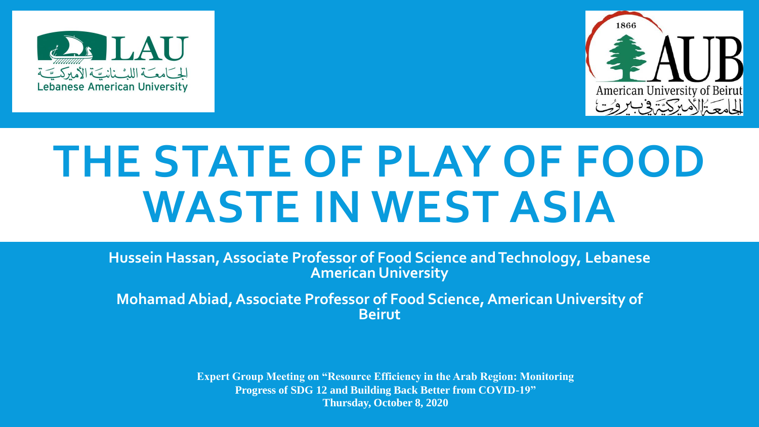



# **THE STATE OF PLAY OF FOOD WASTE IN WEST ASIA**

**Hussein Hassan, Associate Professor of Food Science and Technology, Lebanese American University**

**Mohamad Abiad, Associate Professor of Food Science, American University of Beirut**

> **Expert Group Meeting on "Resource Efficiency in the Arab Region: Monitoring Progress of SDG 12 and Building Back Better from COVID-19" Thursday, October 8, 2020**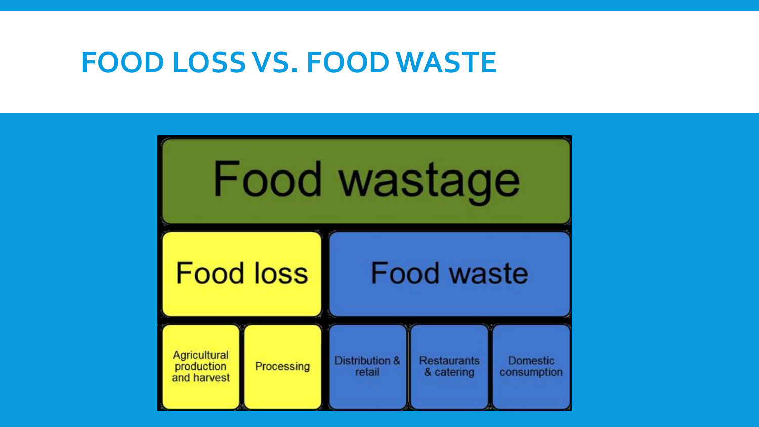### **FOOD LOSS VS. FOOD WASTE**

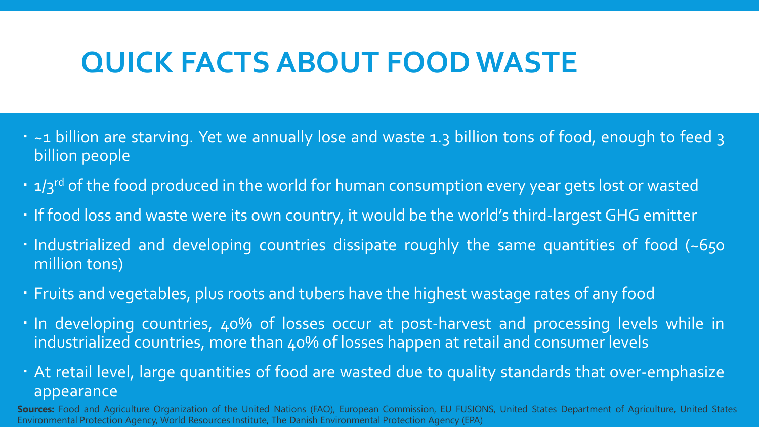# **QUICK FACTS ABOUT FOOD WASTE**

- ~1 billion are starving. Yet we annually lose and waste 1.3 billion tons of food, enough to feed 3 billion people
- 1/3<sup>rd</sup> of the food produced in the world for human consumption every year gets lost or wasted
- If food loss and waste were its own country, it would be the world's third-largest GHG emitter
- . Industrialized and developing countries dissipate roughly the same quantities of food (~650 million tons)
- Fruits and vegetables, plus roots and tubers have the highest wastage rates of any food
- . In developing countries, 40% of losses occur at post-harvest and processing levels while in industrialized countries, more than 40% of losses happen at retail and consumer levels
- At retail level, large quantities of food are wasted due to quality standards that over-emphasize appearance

**Sources:** Food and Agriculture Organization of the United Nations (FAO), European Commission, EU FUSIONS, United States Department of Agriculture, United States Environmental Protection Agency, World Resources Institute, The Danish Environmental Protection Agency (EPA)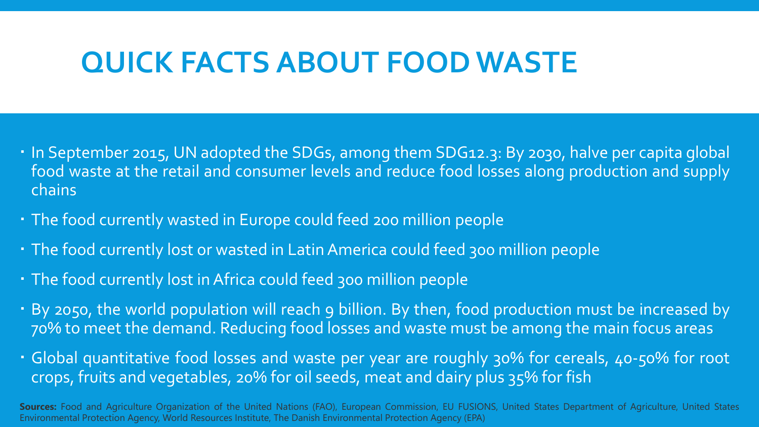### **QUICK FACTS ABOUT FOOD WASTE**

- In September 2015, UN adopted the SDGs, among them SDG12.3: By 2030, halve per capita global food waste at the retail and consumer levels and reduce food losses along production and supply chains
- The food currently wasted in Europe could feed 200 million people
- The food currently lost or wasted in Latin America could feed 300 million people
- The food currently lost in Africa could feed 300 million people
- By 2050, the world population will reach 9 billion. By then, food production must be increased by 70% to meet the demand. Reducing food losses and waste must be among the main focus areas
- Global quantitative food losses and waste per year are roughly 30% for cereals, 40-50% for root crops, fruits and vegetables, 20% for oil seeds, meat and dairy plus 35% for fish

**Sources:** Food and Agriculture Organization of the United Nations (FAO), European Commission, EU FUSIONS, United States Department of Agriculture, United States Environmental Protection Agency, World Resources Institute, The Danish Environmental Protection Agency (EPA)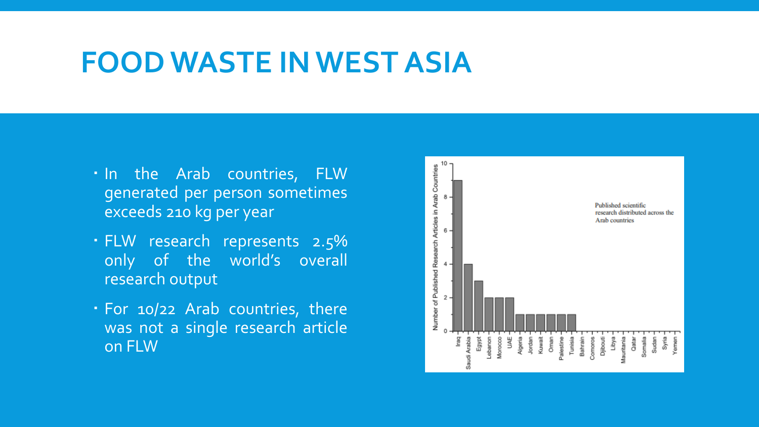- . In the Arab countries, FLW generated per person sometimes exceeds 210 kg per year
- FLW research represents 2.5% only of the world's overall research output
- For 10/22 Arab countries, there was not a single research article on FLW

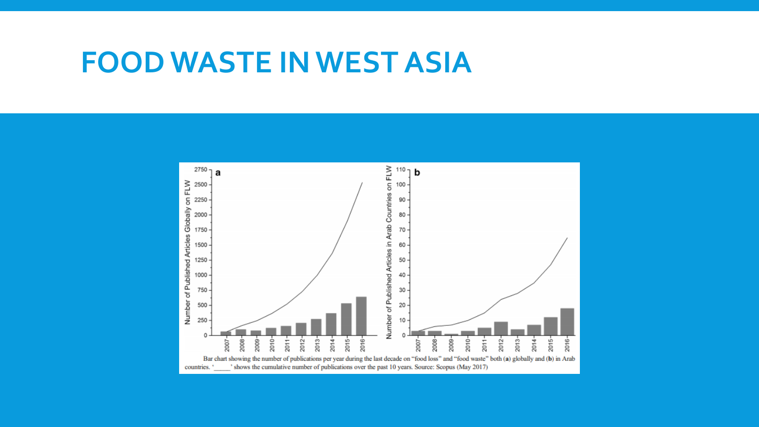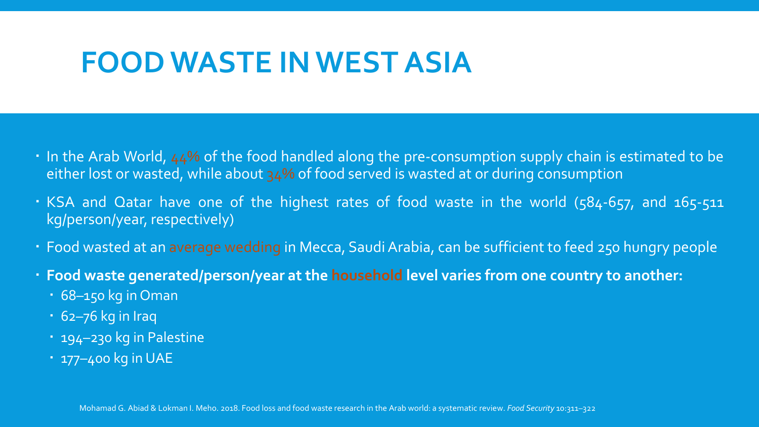- In the Arab World, 44% of the food handled along the pre-consumption supply chain is estimated to be either lost or wasted, while about 34% of food served is wasted at or during consumption
- KSA and Qatar have one of the highest rates of food waste in the world (584-657, and 165-511 kg/person/year, respectively)
- Food wasted at an average wedding in Mecca, SaudiArabia, can be sufficient to feed 250 hungry people
- **Food waste generated/person/year at the household level varies from one country to another:**
	- 68–150 kg in Oman
	- 62–76 kg in Iraq
	- 194–230 kg in Palestine
	- 177–400 kg inUAE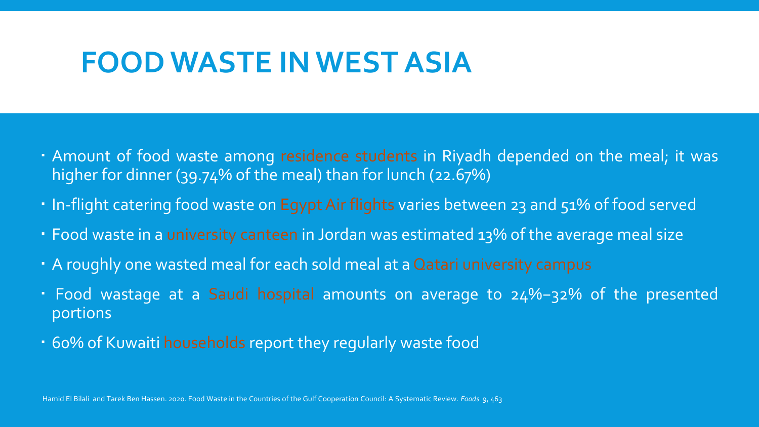- Amount of food waste among residence students in Riyadh depended on the meal; it was higher for dinner (39.74% of the meal) than for lunch (22.67%)
- In-flight catering food waste on Egypt Air flights varies between 23 and 51% of food served
- Food waste in a university canteen in Jordan was estimated 13% of the average meal size
- A roughly one wasted meal for each sold meal at a Qatari university campus
- Food wastage at a Saudi hospital amounts on average to 24%−32% of the presented portions
- 60% of Kuwaiti households report they regularly waste food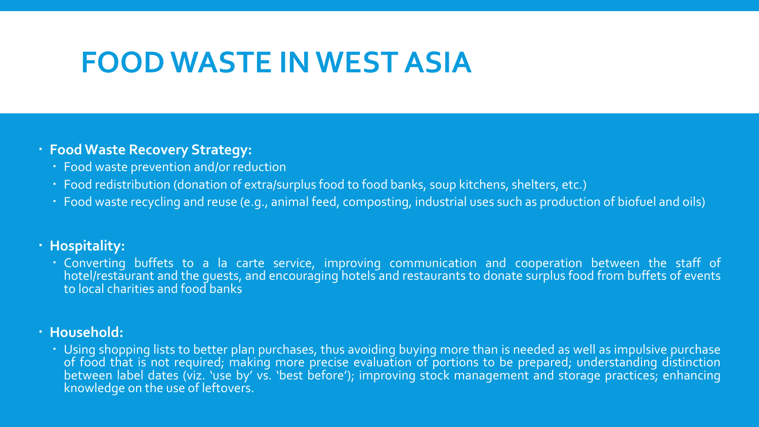#### **Food Waste Recovery Strategy:**

- Food waste prevention and/or reduction
- Food redistribution (donation of extra/surplus food to food banks, soup kitchens, shelters, etc.)
- Food waste recycling and reuse (e.g., animal feed, composting, industrial uses such as production of biofuel and oils)

#### **Hospitality:**

 Converting buffets to a la carte service, improving communication and cooperation between the staff of hotel/restaurant and the guests, and encouraging hotels and restaurants to donate surplus food from buffets of events to local charities and food banks

#### **Household:**

 Using shopping lists to better plan purchases, thus avoiding buying more than is needed as well as impulsive purchase of food that is not required; making more precise evaluation of portions to be prepared; understanding distinction between label dates (viz. 'use by' vs. 'best before'); improving stock management and storage practices; enhancing knowledge on the use of leftovers.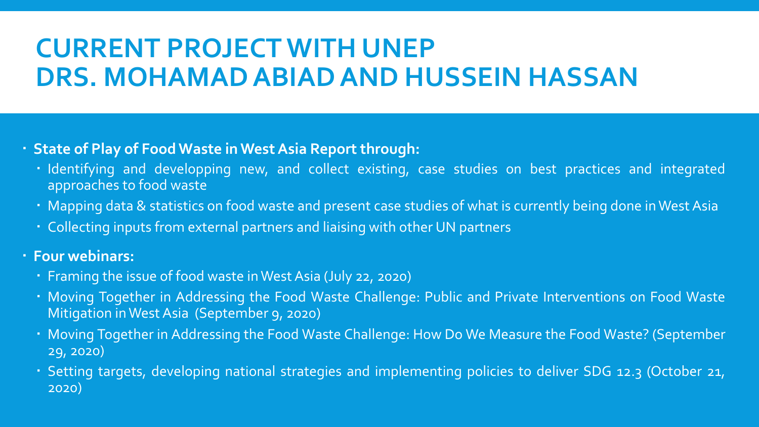# **CURRENT PROJECT WITH UNEP DRS. MOHAMAD ABIADAND HUSSEIN HASSAN**

### **State of Play of Food Waste inWestAsia Report through:**

- · Identifying and developping new, and collect existing, case studies on best practices and integrated approaches to food waste
- Mapping data & statistics on food waste and present case studies of what is currently being done in West Asia
- Collecting inputs from external partners and liaising with other UN partners

#### **Four webinars:**

- Framing the issue of food waste inWest Asia (July 22, 2020)
- Moving Together in Addressing the Food Waste Challenge: Public and Private Interventions on Food Waste Mitigation inWest Asia (September 9, 2020)
- Moving Together in Addressing the Food Waste Challenge: How Do We Measure the Food Waste? (September 29, 2020)
- Setting targets, developing national strategies and implementing policies to deliver SDG 12.3 (October 21, 2020)